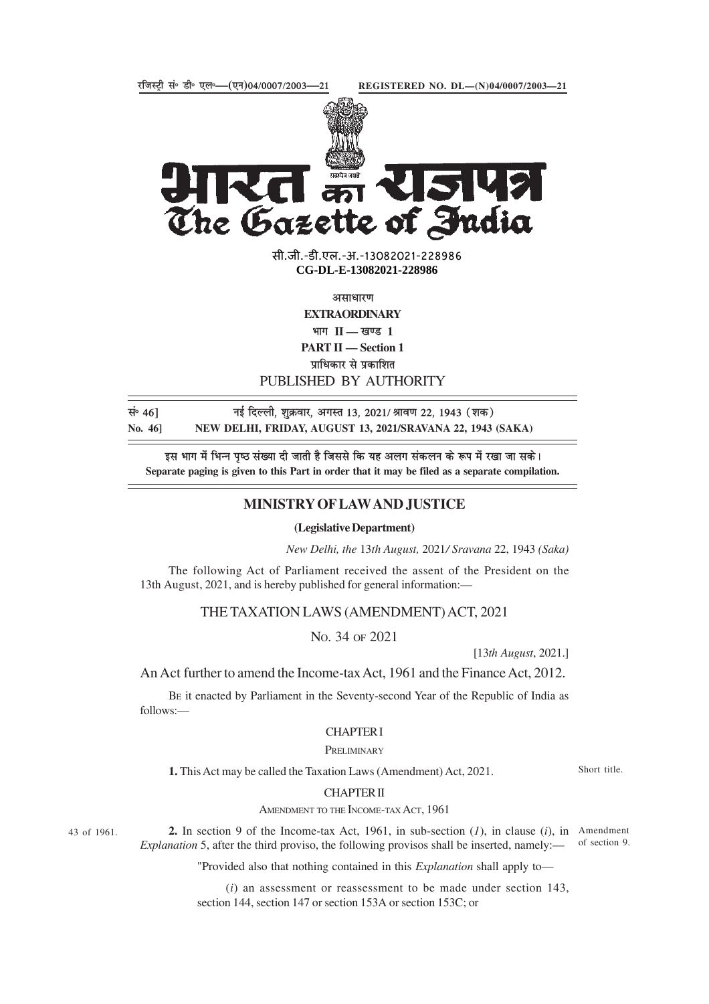

The Gazette of India

> सी.जी.-डी.एल.-अ.-13082021-22898<mark>6</mark> **xxxGIDExxx CG-DL-E-13082021-228986**

> > असाधारण

**EXTRAORDINARY**

भाग II — खण्ड 1

**PART II — Section 1**

प्राधिकार से प्रकाशित

# PUBLISHED BY AUTHORITY

सं॰ 46] <sup>मुं</sup>द्दिल्ली, शुक्रवार, अगस्त 13, 2021/ श्रावण 22, 1943 (शक) **No. 46] NEW DELHI, FRIDAY, AUGUST 13, 2021/SRAVANA 22, 1943 (SAKA)**

इस भाग में भिन्न पष्ठ संख्या दी जाती है जिससे कि यह अलग संकलन के रूप में रखा जा सके। **Separate paging is given to this Part in order that it may be filed as a separate compilation.**

## **MINISTRY OF LAW AND JUSTICE**

#### **(Legislative Department)**

*New Delhi, the* 13*th August,* 2021*/ Sravana* 22, 1943 *(Saka)*

The following Act of Parliament received the assent of the President on the 13th August, 2021, and is hereby published for general information:—

# THE TAXATION LAWS (AMENDMENT) ACT, 2021

No. 34 OF 2021

[13*th August*, 2021.]

An Act further to amend the Income-tax Act, 1961 and the Finance Act, 2012.

BE it enacted by Parliament in the Seventy-second Year of the Republic of India as follows:—

#### CHAPTER I

### **PRELIMINARY**

**1.** This Act may be called the Taxation Laws (Amendment) Act, 2021.

Short title.

## CHAPTER II

AMENDMENT TO THE INCOME-TAX ACT, 1961

43 of 1961.

**2.** In section 9 of the Income-tax Act, 1961, in sub-section (*1*), in clause (*i*), in Amendment *Explanation* 5, after the third proviso, the following provisos shall be inserted, namely: of section 9.

"Provided also that nothing contained in this *Explanation* shall apply to—

(*i*) an assessment or reassessment to be made under section 143, section 144, section 147 or section 153A or section 153C; or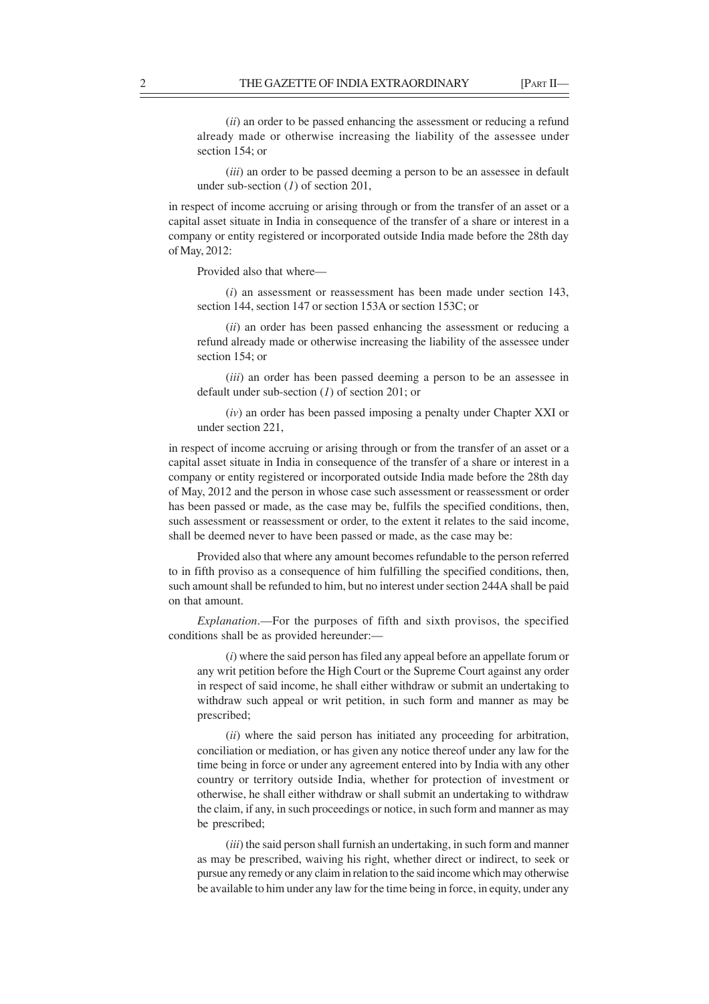(*ii*) an order to be passed enhancing the assessment or reducing a refund already made or otherwise increasing the liability of the assessee under section 154; or

(*iii*) an order to be passed deeming a person to be an assessee in default under sub-section (*1*) of section 201,

in respect of income accruing or arising through or from the transfer of an asset or a capital asset situate in India in consequence of the transfer of a share or interest in a company or entity registered or incorporated outside India made before the 28th day of May, 2012:

Provided also that where—

(*i*) an assessment or reassessment has been made under section 143, section 144, section 147 or section 153A or section 153C; or

(*ii*) an order has been passed enhancing the assessment or reducing a refund already made or otherwise increasing the liability of the assessee under section 154; or

(*iii*) an order has been passed deeming a person to be an assessee in default under sub-section (*1*) of section 201; or

(*iv*) an order has been passed imposing a penalty under Chapter XXI or under section 221,

in respect of income accruing or arising through or from the transfer of an asset or a capital asset situate in India in consequence of the transfer of a share or interest in a company or entity registered or incorporated outside India made before the 28th day of May, 2012 and the person in whose case such assessment or reassessment or order has been passed or made, as the case may be, fulfils the specified conditions, then, such assessment or reassessment or order, to the extent it relates to the said income, shall be deemed never to have been passed or made, as the case may be:

Provided also that where any amount becomes refundable to the person referred to in fifth proviso as a consequence of him fulfilling the specified conditions, then, such amount shall be refunded to him, but no interest under section 244A shall be paid on that amount.

*Explanation*.—For the purposes of fifth and sixth provisos, the specified conditions shall be as provided hereunder:—

(*i*) where the said person has filed any appeal before an appellate forum or any writ petition before the High Court or the Supreme Court against any order in respect of said income, he shall either withdraw or submit an undertaking to withdraw such appeal or writ petition, in such form and manner as may be prescribed;

(*ii*) where the said person has initiated any proceeding for arbitration, conciliation or mediation, or has given any notice thereof under any law for the time being in force or under any agreement entered into by India with any other country or territory outside India, whether for protection of investment or otherwise, he shall either withdraw or shall submit an undertaking to withdraw the claim, if any, in such proceedings or notice, in such form and manner as may be prescribed;

(*iii*) the said person shall furnish an undertaking, in such form and manner as may be prescribed, waiving his right, whether direct or indirect, to seek or pursue any remedy or any claim in relation to the said income which may otherwise be available to him under any law for the time being in force, in equity, under any